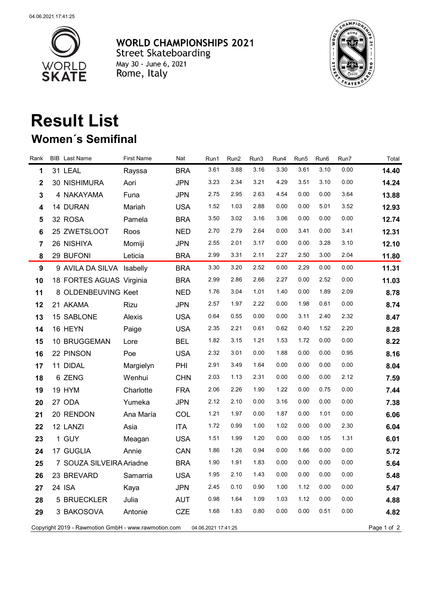

**WORLD CHAMPIONSHIPS 2021** Street Skateboarding<br>
May 30 - June 6, 2021<br>
Rome, Italy



## **Result List Women´s Semifinal**

| Rank                                                                                      |  | <b>BIB</b> Last Name      | <b>First Name</b> | Nat        | Run1 | Run2 | Run3 | Run4 | Run5 | Run6 | Run7 | Total |
|-------------------------------------------------------------------------------------------|--|---------------------------|-------------------|------------|------|------|------|------|------|------|------|-------|
| 1                                                                                         |  | 31 LEAL                   | Rayssa            | <b>BRA</b> | 3.61 | 3.88 | 3.16 | 3.30 | 3.61 | 3.10 | 0.00 | 14.40 |
| $\mathbf 2$                                                                               |  | 30 NISHIMURA              | Aori              | <b>JPN</b> | 3.23 | 2.34 | 3.21 | 4.29 | 3.51 | 3.10 | 0.00 | 14.24 |
| $\mathbf{3}$                                                                              |  | 4 NAKAYAMA                | Funa              | <b>JPN</b> | 2.75 | 2.95 | 2.63 | 4.54 | 0.00 | 0.00 | 3.64 | 13.88 |
| 4                                                                                         |  | 14 DURAN                  | Mariah            | <b>USA</b> | 1.52 | 1.03 | 2.88 | 0.00 | 0.00 | 5.01 | 3.52 | 12.93 |
| 5                                                                                         |  | 32 ROSA                   | Pamela            | <b>BRA</b> | 3.50 | 3.02 | 3.16 | 3.06 | 0.00 | 0.00 | 0.00 | 12.74 |
| 6                                                                                         |  | 25 ZWETSLOOT              | Roos              | <b>NED</b> | 2.70 | 2.79 | 2.64 | 0.00 | 3.41 | 0.00 | 3.41 | 12.31 |
| $\overline{7}$                                                                            |  | 26 NISHIYA                | Momiji            | <b>JPN</b> | 2.55 | 2.01 | 3.17 | 0.00 | 0.00 | 3.28 | 3.10 | 12.10 |
| 8                                                                                         |  | 29 BUFONI                 | Leticia           | <b>BRA</b> | 2.99 | 3.31 | 2.11 | 2.27 | 2.50 | 3.00 | 2.04 | 11.80 |
| $\boldsymbol{9}$                                                                          |  | 9 AVILA DA SILVA Isabelly |                   | <b>BRA</b> | 3.30 | 3.20 | 2.52 | 0.00 | 2.29 | 0.00 | 0.00 | 11.31 |
| 10                                                                                        |  | 18 FORTES AGUAS Virginia  |                   | <b>BRA</b> | 2.99 | 2.86 | 2.66 | 2.27 | 0.00 | 2.52 | 0.00 | 11.03 |
| 11                                                                                        |  | 8 OLDENBEUVING Keet       |                   | <b>NED</b> | 1.76 | 3.04 | 1.01 | 1.40 | 0.00 | 1.89 | 2.09 | 8.78  |
| 12                                                                                        |  | 21 AKAMA                  | Rizu              | <b>JPN</b> | 2.57 | 1.97 | 2.22 | 0.00 | 1.98 | 0.61 | 0.00 | 8.74  |
| 13                                                                                        |  | 15 SABLONE                | Alexis            | <b>USA</b> | 0.64 | 0.55 | 0.00 | 0.00 | 3.11 | 2.40 | 2.32 | 8.47  |
| 14                                                                                        |  | 16 HEYN                   | Paige             | <b>USA</b> | 2.35 | 2.21 | 0.61 | 0.62 | 0.40 | 1.52 | 2.20 | 8.28  |
| 15                                                                                        |  | 10 BRUGGEMAN              | Lore              | <b>BEL</b> | 1.82 | 3.15 | 1.21 | 1.53 | 1.72 | 0.00 | 0.00 | 8.22  |
| 16                                                                                        |  | 22 PINSON                 | Poe               | <b>USA</b> | 2.32 | 3.01 | 0.00 | 1.88 | 0.00 | 0.00 | 0.95 | 8.16  |
| 17                                                                                        |  | 11 DIDAL                  | Margielyn         | PHI        | 2.91 | 3.49 | 1.64 | 0.00 | 0.00 | 0.00 | 0.00 | 8.04  |
| 18                                                                                        |  | 6 ZENG                    | Wenhui            | <b>CHN</b> | 2.03 | 1.13 | 2.31 | 0.00 | 0.00 | 0.00 | 2.12 | 7.59  |
| 19                                                                                        |  | 19 HYM                    | Charlotte         | <b>FRA</b> | 2.06 | 2.26 | 1.90 | 1.22 | 0.00 | 0.75 | 0.00 | 7.44  |
| 20                                                                                        |  | 27 ODA                    | Yumeka            | <b>JPN</b> | 2.12 | 2.10 | 0.00 | 3.16 | 0.00 | 0.00 | 0.00 | 7.38  |
| 21                                                                                        |  | 20 RENDON                 | Ana María         | COL        | 1.21 | 1.97 | 0.00 | 1.87 | 0.00 | 1.01 | 0.00 | 6.06  |
| 22                                                                                        |  | 12 LANZI                  | Asia              | <b>ITA</b> | 1.72 | 0.99 | 1.00 | 1.02 | 0.00 | 0.00 | 2.30 | 6.04  |
| 23                                                                                        |  | 1 GUY                     | Meagan            | <b>USA</b> | 1.51 | 1.99 | 1.20 | 0.00 | 0.00 | 1.05 | 1.31 | 6.01  |
| 24                                                                                        |  | 17 GUGLIA                 | Annie             | CAN        | 1.86 | 1.26 | 0.94 | 0.00 | 1.66 | 0.00 | 0.00 | 5.72  |
| 25                                                                                        |  | 7 SOUZA SILVEIRA Ariadne  |                   | <b>BRA</b> | 1.90 | 1.91 | 1.83 | 0.00 | 0.00 | 0.00 | 0.00 | 5.64  |
| 26                                                                                        |  | 23 BREVARD                | Samarria          | <b>USA</b> | 1.95 | 2.10 | 1.43 | 0.00 | 0.00 | 0.00 | 0.00 | 5.48  |
| 27                                                                                        |  | 24 ISA                    | Kaya              | <b>JPN</b> | 2.45 | 0.10 | 0.90 | 1.00 | 1.12 | 0.00 | 0.00 | 5.47  |
| 28                                                                                        |  | 5 BRUECKLER               | Julia             | <b>AUT</b> | 0.98 | 1.64 | 1.09 | 1.03 | 1.12 | 0.00 | 0.00 | 4.88  |
| 29                                                                                        |  | 3 BAKOSOVA                | Antonie           | <b>CZE</b> | 1.68 | 1.83 | 0.80 | 0.00 | 0.00 | 0.51 | 0.00 | 4.82  |
| Copyright 2019 - Rawmotion GmbH - www.rawmotion.com<br>Page 1 of 2<br>04.06.2021 17:41:25 |  |                           |                   |            |      |      |      |      |      |      |      |       |